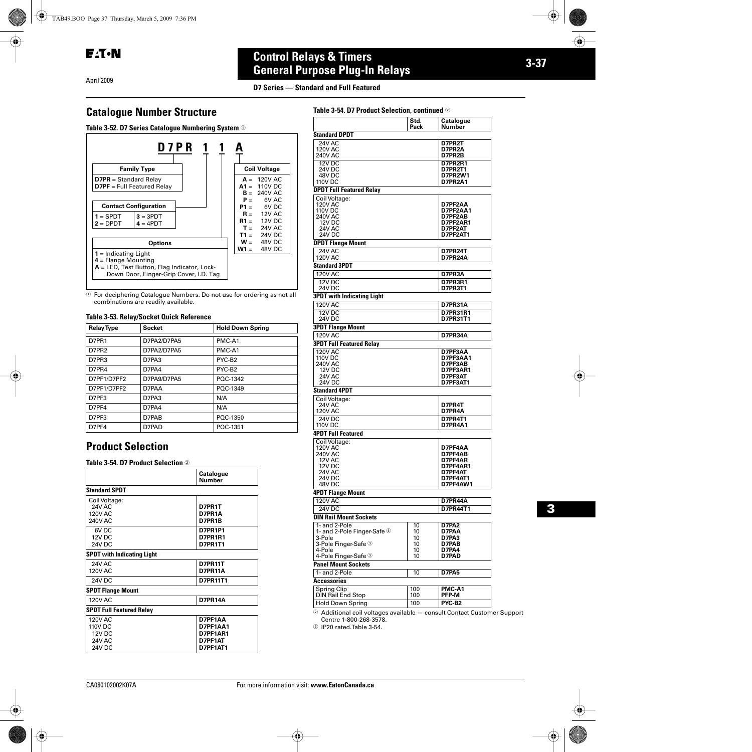**EAT-N** 

#### April 2009

# **3-37 Control Relays & Timers General Purpose Plug-In Relays**

**D7 Series — Standard and Full Featured**

# **Catalogue Number Structure**

**Table 3-52. D7 Series Catalogue Numbering System**  $\odot$ 



 $\odot$  For deciphering Catalogue Numbers. Do not use for ordering as not all combinations are readily available.

#### **Table 3-53. Relay/Socket Quick Reference**

| <b>Relay Type</b> | <b>Socket</b> | <b>Hold Down Spring</b> |
|-------------------|---------------|-------------------------|
| D7PR1             | D7PA2/D7PA5   | PMC-A1                  |
| D7PR2             | D7PA2/D7PA5   | PMC-A1                  |
| D7PR3             | D7PA3         | PYC-B <sub>2</sub>      |
| D7PR4             | D7PA4         | PYC-B <sub>2</sub>      |
| D7PF1/D7PF2       | D7PA9/D7PA5   | POC-1342                |
| D7PF1/D7PF2       | D7PAA         | POC-1349                |
| D7PF3             | D7PA3         | N/A                     |
| D7PF4             | D7PA4         | N/A                     |
| D7PF3             | D7PAB         | POC-1350                |
| D7PF4             | D7PAD         | POC-1351                |

### **Product Selection**

**Table 3-54. D7 Product Selection** 

|                                   | <b>Catalogue</b><br><b>Number</b> |  |  |  |  |
|-----------------------------------|-----------------------------------|--|--|--|--|
| <b>Standard SPDT</b>              |                                   |  |  |  |  |
| Coil Voltage:                     |                                   |  |  |  |  |
| <b>24V AC</b>                     | D7PR1T                            |  |  |  |  |
| <b>120V AC</b>                    | D7PR1A                            |  |  |  |  |
| <b>240V AC</b>                    | D7PR1B                            |  |  |  |  |
| 6V <sub>DC</sub>                  | <b>D7PR1P1</b>                    |  |  |  |  |
| 12V DC                            | <b>D7PR1R1</b>                    |  |  |  |  |
| 24V DC                            | <b>D7PR1T1</b>                    |  |  |  |  |
| <b>SPDT</b> with Indicating Light |                                   |  |  |  |  |
| <b>24V AC</b>                     | <b>D7PR11T</b>                    |  |  |  |  |
| <b>120V AC</b>                    | <b>D7PR11A</b>                    |  |  |  |  |
| 24V DC                            | D7PR11T1                          |  |  |  |  |
| <b>SPDT Flange Mount</b>          |                                   |  |  |  |  |
| <b>120V AC</b>                    | <b>D7PR14A</b>                    |  |  |  |  |
| <b>SPDT Full Featured Relay</b>   |                                   |  |  |  |  |
| <b>120V AC</b>                    | D7PF1AA                           |  |  |  |  |
| 110V DC                           | D7PF1AA1                          |  |  |  |  |
| <b>12V DC</b>                     | D7PF1AR1                          |  |  |  |  |
| <b>24V AC</b>                     | D7PF1AT                           |  |  |  |  |
| 24V DC                            | D7PF1AT1                          |  |  |  |  |

|                                         | Std.                 | Catalogue                        |
|-----------------------------------------|----------------------|----------------------------------|
|                                         | Pack                 | Number                           |
| <b>Standard DPDT</b>                    |                      |                                  |
| 24V AC<br><b>120V AC</b>                |                      | D7PR2T<br>D7PR2A                 |
| <b>240V AC</b>                          |                      | D7PR2B                           |
| 12V DC                                  |                      | <b>D7PR2R1</b>                   |
| 24V DC<br>48V DC                        |                      | <b>D7PR2T1</b><br><b>D7PR2W1</b> |
| <b>110V DC</b>                          |                      | <b>D7PR2A1</b>                   |
| <b>DPDT Full Featured Relay</b>         |                      |                                  |
| Coil Voltage:                           |                      |                                  |
| 120V AC<br><b>110V DC</b>               |                      | D7PF2AA<br>D7PF2AA1              |
| 240V AC                                 |                      | D7PF2AB                          |
| 12V <sub>DC</sub>                       |                      | D7PF2AR1                         |
| 24V AC<br>24V DC                        |                      | D7PF2AT<br>D7PF2AT1              |
| <b>DPDT Flange Mount</b>                |                      |                                  |
| <b>24V AC</b>                           |                      | <b>D7PR24T</b>                   |
| <b>120V AC</b>                          |                      | <b>D7PR24A</b>                   |
| <b>Standard 3PDT</b>                    |                      |                                  |
| <b>120V AC</b>                          |                      | D7PR3A                           |
| 12V DC<br>24V DC                        |                      | <b>D7PR3R1</b><br><b>D7PR3T1</b> |
| <b>3PDT with Indicating Light</b>       |                      |                                  |
| <b>120V AC</b>                          |                      | <b>D7PR31A</b>                   |
| 12V <sub>DC</sub>                       |                      | <b>D7PR31R1</b>                  |
| 24V DC                                  |                      | <b>D7PR31T1</b>                  |
| <b>3PDT Flange Mount</b>                |                      |                                  |
| <b>120V AC</b>                          |                      | D7PR34A                          |
| <b>3PDT Full Featured Relay</b>         |                      |                                  |
| <b>120V AC</b>                          |                      | D7PF3AA                          |
| 110V DC<br><b>240V AC</b>               |                      | D7PF3AA1<br>D7PF3AB              |
| 12V DC                                  |                      | D7PF3AR1                         |
| 24V AC<br>24V DC                        |                      | D7PF3AT<br>D7PF3AT1              |
| <b>Standard 4PDT</b>                    |                      |                                  |
| Coil Voltage:                           |                      |                                  |
| 24V AC                                  |                      | D7PR4T                           |
| <b>120V AC</b>                          |                      | D7PR4A                           |
| <b>24V DC</b><br>110V DC                |                      | <b>D7PR4T1</b><br>D7PR4A1        |
| <b>4PDT Full Featured</b>               |                      |                                  |
| Coil Voltage:                           |                      |                                  |
| 120V AC                                 |                      | D7PF4AA                          |
| <b>240V AC</b><br><b>12V AC</b>         |                      | D7PF4AB                          |
| 12V DC                                  |                      | D7PF4AR<br>D7PF4AR1              |
| <b>24V AC</b>                           |                      | D7PF4AT                          |
| <b>24V DC</b><br>48V DC                 | D7PF4AT1<br>D7PF4AW1 |                                  |
| <b>4PDT Flange Mount</b>                |                      |                                  |
| 120V AC                                 |                      | D7PR44A                          |
| 24V DC                                  |                      | <b>D7PR44T1</b>                  |
| <b>DIN Rail Mount Sockets</b>           |                      |                                  |
| 1- and 2-Pole                           | 10                   | D7PA2                            |
| 1- and 2-Pole Finger-Safe 3             | 10                   | D7PAA                            |
| 3-Pole<br>3-Pole Finger-Safe 3          | 10<br>10             | D7PA3<br>D7PAB                   |
| 4-Pole                                  | 10                   | D7PA4                            |
| 4-Pole Finger-Safe 3                    | 10                   | D7PAD                            |
| <b>Panel Mount Sockets</b>              |                      |                                  |
| 1- and 2-Pole                           | 10                   | D7PA5                            |
| Accessories                             |                      |                                  |
| Spring Clip<br><b>DIN Rail End Stop</b> | 100<br>100           | PMC-A1<br>PFP M                  |
| <b>Hold Down Spring</b>                 | 100                  | PYC-B2                           |
|                                         |                      |                                  |

er Support Centre 1-800-268-3578.

IP20 rated.Table 3-54.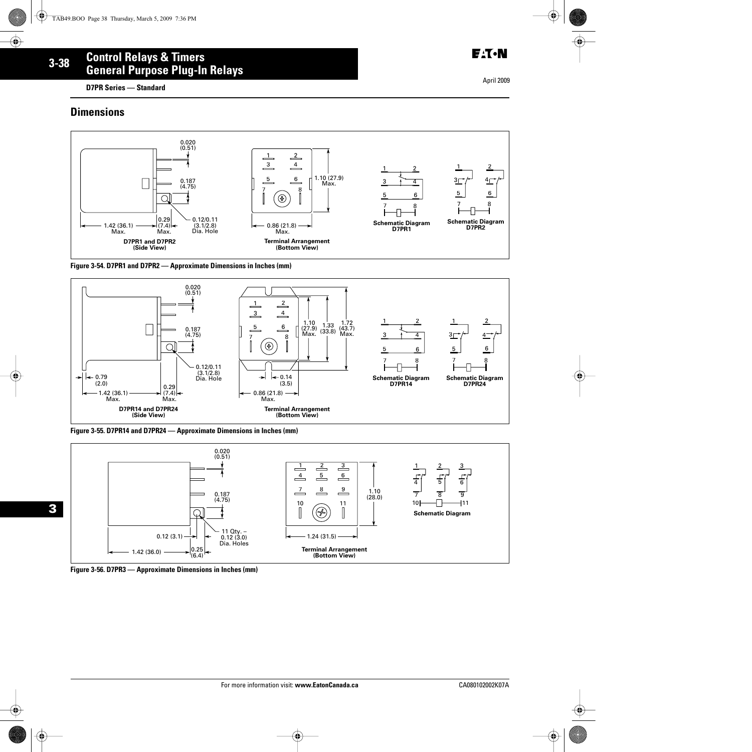**D7PR Series — Standard**

## **Dimensions**

**3**



#### **Figure 3-54. D7PR1 and D7PR2 — Approximate Dimensions in Inches (mm)**



**Figure 3-55. D7PR14 and D7PR24 — Approximate Dimensions in Inches (mm)**





**E**:T.N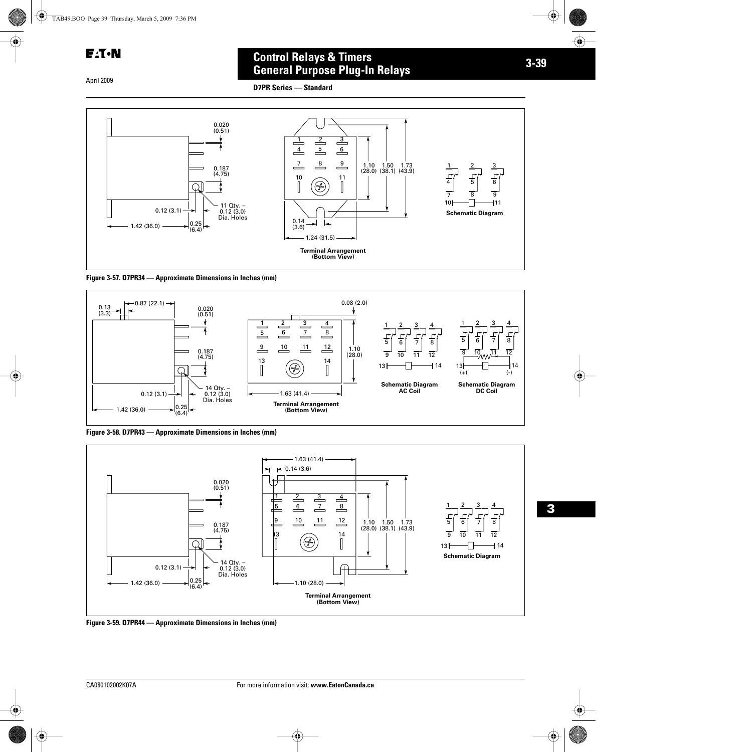**E**:T.N

April 2009

# **3-39 Control Relays & Timers General Purpose Plug-In Relays**







**Figure 3-58. D7PR43 — Approximate Dimensions in Inches (mm)**



**Figure 3-59. D7PR44 — Approximate Dimensions in Inches (mm)**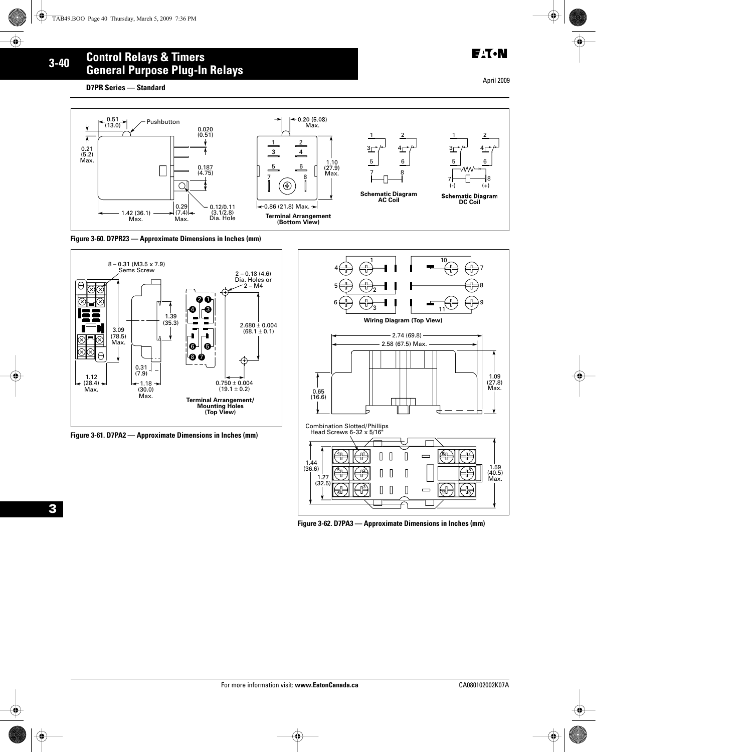#### **3-40 Control Relays & Timers General Purpose Plug-In Relays**

**D7PR Series — Standard**

April 2009



**Figure 3-60. D7PR23 — Approximate Dimensions in Inches (mm)**



**Figure 3-61. D7PA2 — Approximate Dimensions in Inches (mm)**



**Figure 3-62. D7PA3 — Approximate Dimensions in Inches (mm)**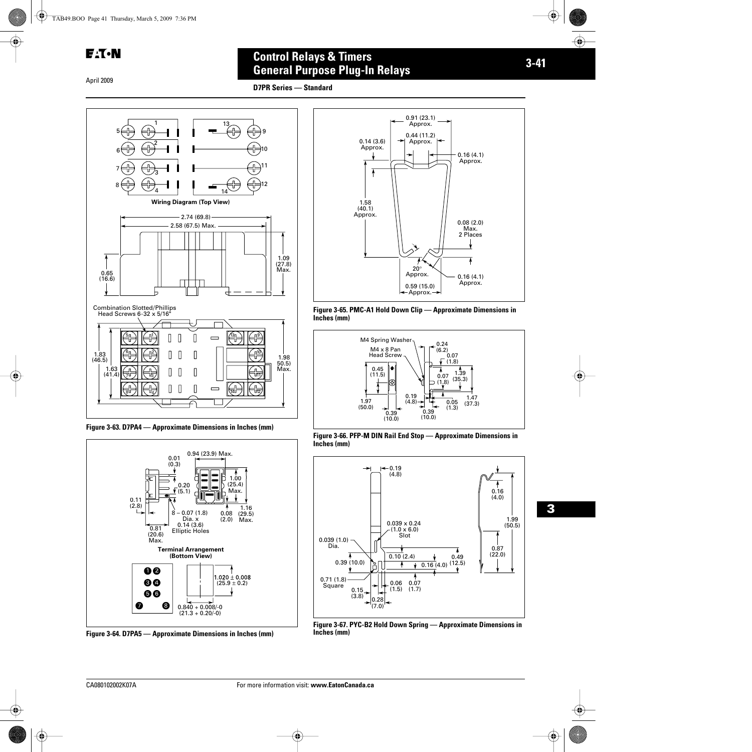#### April 2009

# **3-41 Control Relays & Timers General Purpose Plug-In Relays**

**D7PR Series — Standard**



**Figure 3-63. D7PA4 — Approximate Dimensions in Inches (mm)** 



**Figure 3-64. D7PA5 — Approximate Dimensions in Inches (mm)**



**Figure 3-65. PMC-A1 Hold Down Clip — Approximate Dimensions in Inches (mm)**



**Figure 3-66. PFP-M DIN Rail End Stop — Approximate Dimensions in Inches (mm)**



**Figure 3-67. PYC-B2 Hold Down Spring — Approximate Dimensions in Inches (mm)**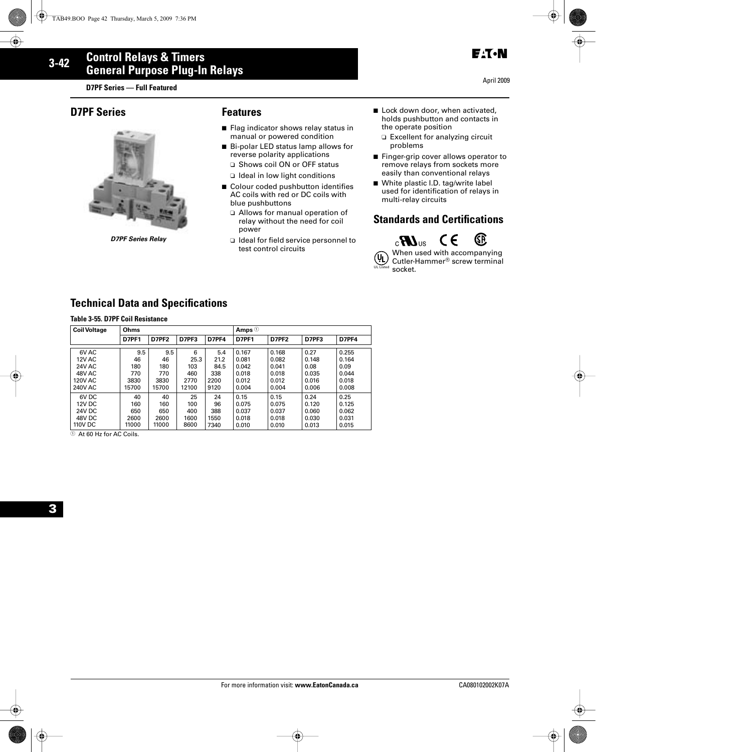**D7PF Series — Full Featured**

## **D7PF Series Features**



*D7PF Series Relay*

- Flag indicator shows relay status in manual or powered condition
- Bi-polar LED status lamp allows for reverse polarity applications
	- ❑ Shows coil ON or OFF status ❑ Ideal in low light conditions
- Colour coded pushbutton identifies AC coils with red or DC coils with blue pushbuttons
	- ❑ Allows for manual operation of relay without the need for coil power
	- ❑ Ideal for field service personnel to test control circuits
- Lock down door, when activated, holds pushbutton and contacts in the operate position
	- ❑ Excellent for analyzing circuit problems
- Finger-grip cover allows operator to remove relays from sockets more easily than conventional relays
- White plastic I.D. tag/write label used for identification of relays in multi-relay circuits

# **Standards and Certifications**



When used with accompanying  $(\mathbf{U}_L)$ Cutler-Hammer® screw terminal UL Listed socket.

# **Technical Data and Specifications**

|  |  |  | Table 3-55. D7PF Coil Resistance |
|--|--|--|----------------------------------|
|--|--|--|----------------------------------|

| <b>Coil Voltage</b> | Ohms         |       |       | Amps $\odot$ |              |              |       |       |
|---------------------|--------------|-------|-------|--------------|--------------|--------------|-------|-------|
|                     | <b>D7PF1</b> | D7PF2 | D7PF3 | D7PF4        | <b>D7PF1</b> | <b>D7PF2</b> | D7PF3 | D7PF4 |
| 6V AC               | 9.5          | 9.5   | 6     | 5.4          | 0.167        | 0.168        | 0.27  | 0.255 |
| <b>12V AC</b>       | 46           | 46    | 25.3  | 21.2         | 0.081        | 0.082        | 0.148 | 0.164 |
| <b>24V AC</b>       | 180          | 180   | 103   | 84.5         | 0.042        | 0.041        | 0.08  | 0.09  |
| 48V AC              | 770          | 770   | 460   | 338          | 0.018        | 0.018        | 0.035 | 0.044 |
| <b>120V AC</b>      | 3830         | 3830  | 2770  | 2200         | 0.012        | 0.012        | 0.016 | 0.018 |
| 240V AC             | 15700        | 15700 | 12100 | 9120         | 0.004        | 0.004        | 0.006 | 0.008 |
| 6V <sub>DC</sub>    | 40           | 40    | 25    | 24           | 0.15         | 0.15         | 0.24  | 0.25  |
| <b>12V DC</b>       | 160          | 160   | 100   | 96           | 0.075        | 0.075        | 0.120 | 0.125 |
| <b>24V DC</b>       | 650          | 650   | 400   | 388          | 0.037        | 0.037        | 0.060 | 0.062 |
| 48V DC              | 2600         | 2600  | 1600  | 1550         | 0.018        | 0.018        | 0.030 | 0.031 |
| 110V DC             | 11000        | 11000 | 8600  | 7340         | 0.010        | 0.010        | 0.013 | 0.015 |

 $\textcircled{\tiny{1}}$  At 60 Hz for AC Coils.



April 2009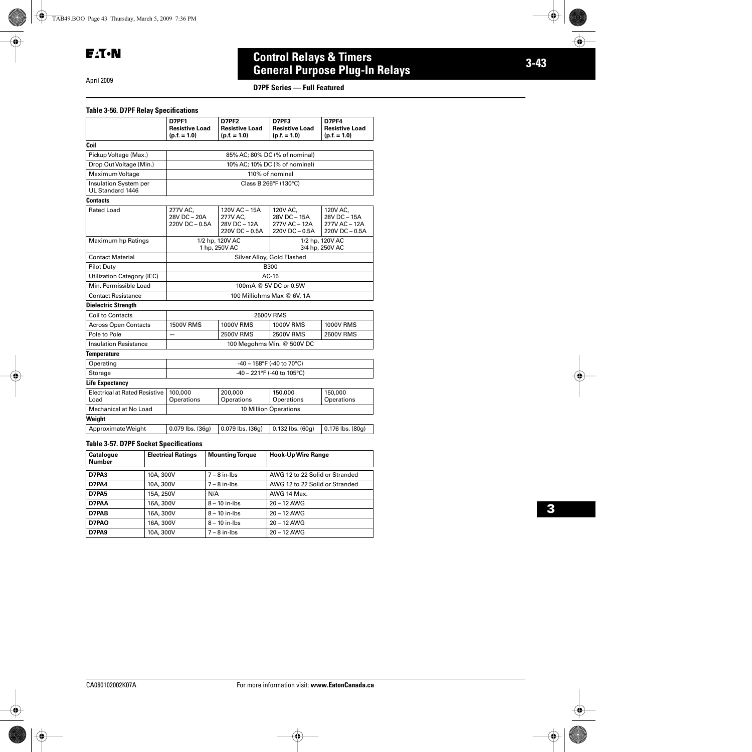April 2009

# **3-43 Control Relays & Timers General Purpose Plug-In Relays**

#### **D7PF Series — Full Featured**

#### **Table 3-56. D7PF Relay Specifications**

|                                              | <b>D7PF1</b><br><b>Resistive Load</b><br>$(p.f. = 1.0)$                | D7PF <sub>2</sub><br><b>Resistive Load</b><br>$(p.f. = 1.0)$ | D7PF3<br><b>Resistive Load</b><br>$(p.f. = 1.0)$            | D7PF4<br><b>Resistive Load</b><br>$(p.f. = 1.0)$            |  |  |
|----------------------------------------------|------------------------------------------------------------------------|--------------------------------------------------------------|-------------------------------------------------------------|-------------------------------------------------------------|--|--|
| Coil                                         |                                                                        |                                                              |                                                             |                                                             |  |  |
| Pickup Voltage (Max.)                        | 85% AC; 80% DC (% of nominal)                                          |                                                              |                                                             |                                                             |  |  |
| Drop Out Voltage (Min.)                      |                                                                        |                                                              | 10% AC; 10% DC (% of nominal)                               |                                                             |  |  |
| Maximum Voltage                              |                                                                        |                                                              | 110% of nominal                                             |                                                             |  |  |
| Insulation System per<br>UL Standard 1446    | Class B 266°F (130°C)                                                  |                                                              |                                                             |                                                             |  |  |
| <b>Contacts</b>                              |                                                                        |                                                              |                                                             |                                                             |  |  |
| Rated Load                                   | 277V AC.<br>28V DC - 20A<br>220V DC - 0.5A                             | 120V AC - 15A<br>277V AC.<br>28V DC – 12A<br>220V DC - 0.5A  | 120V AC.<br>28V DC - 15A<br>277V AC - 12A<br>220V DC - 0.5A | 120V AC,<br>28V DC - 15A<br>277V AC - 12A<br>220V DC - 0.5A |  |  |
| Maximum hp Ratings                           | 1/2 hp, 120V AC<br>1/2 hp, 120V AC<br>1 hp, 250V AC<br>3/4 hp, 250V AC |                                                              |                                                             |                                                             |  |  |
| <b>Contact Material</b>                      |                                                                        |                                                              | Silver Alloy, Gold Flashed                                  |                                                             |  |  |
| <b>Pilot Duty</b>                            |                                                                        |                                                              | <b>B300</b>                                                 |                                                             |  |  |
| Utilization Category (IEC)                   |                                                                        |                                                              | $AC-15$                                                     |                                                             |  |  |
| Min. Permissible Load                        |                                                                        | 100mA @ 5V DC or 0.5W                                        |                                                             |                                                             |  |  |
| <b>Contact Resistance</b>                    |                                                                        |                                                              | 100 Milliohms Max @ 6V, 1A                                  |                                                             |  |  |
| <b>Dielectric Strength</b>                   |                                                                        |                                                              |                                                             |                                                             |  |  |
| Coil to Contacts                             |                                                                        |                                                              | <b>2500V RMS</b>                                            |                                                             |  |  |
| <b>Across Open Contacts</b>                  | <b>1500V RMS</b>                                                       | <b>1000V RMS</b>                                             | <b>1000V RMS</b>                                            | <b>1000V RMS</b>                                            |  |  |
| Pole to Pole                                 |                                                                        | <b>2500V RMS</b>                                             | <b>2500V RMS</b>                                            | <b>2500V RMS</b>                                            |  |  |
| <b>Insulation Resistance</b>                 | 100 Megohms Min. @ 500V DC                                             |                                                              |                                                             |                                                             |  |  |
| <b>Temperature</b>                           |                                                                        |                                                              |                                                             |                                                             |  |  |
| Operating                                    | $-40 - 158$ °F (-40 to 70°C)                                           |                                                              |                                                             |                                                             |  |  |
| Storage                                      | -40 - 221°F (-40 to 105°C)                                             |                                                              |                                                             |                                                             |  |  |
| <b>Life Expectancy</b>                       |                                                                        |                                                              |                                                             |                                                             |  |  |
| <b>Electrical at Rated Resistive</b><br>Load | 100,000<br>Operations                                                  | 200,000<br>Operations                                        | 150,000<br>Operations                                       | 150,000<br>Operations                                       |  |  |
| Mechanical at No Load                        | 10 Million Operations                                                  |                                                              |                                                             |                                                             |  |  |
| Weight                                       |                                                                        |                                                              |                                                             |                                                             |  |  |
| Approximate Weight                           | $0.079$ lbs. $(36q)$                                                   | $0.079$ lbs. $(36q)$                                         | $0.132$ lbs. $(60q)$                                        | $0.176$ lbs. $(80q)$                                        |  |  |

#### **Table 3-57. D7PF Socket Specifications**

| Catalogue<br><b>Number</b> | <b>Electrical Ratings</b> | <b>Mounting Torque</b> | <b>Hook-Up Wire Range</b>      |
|----------------------------|---------------------------|------------------------|--------------------------------|
| D7PA3                      | 10A, 300V                 | $7 - 8$ in-lbs         | AWG 12 to 22 Solid or Stranded |
| D7PA4                      | 10A, 300V                 | $7 - 8$ in-lbs         | AWG 12 to 22 Solid or Stranded |
| D7PA5                      | 15A, 250V                 | N/A                    | AWG 14 Max.                    |
| D7PAA                      | 16A, 300V                 | $8 - 10$ in-lbs        | $20 - 12$ AWG                  |
| D7PAB                      | 16A, 300V                 | $8 - 10$ in-lbs        | $20 - 12$ AWG                  |
| D7PAO                      | 16A, 300V                 | $8 - 10$ in-lbs        | $20 - 12$ AWG                  |
| D7PA9                      | 10A, 300V                 | $7 - 8$ in-lbs         | $20 - 12$ AWG                  |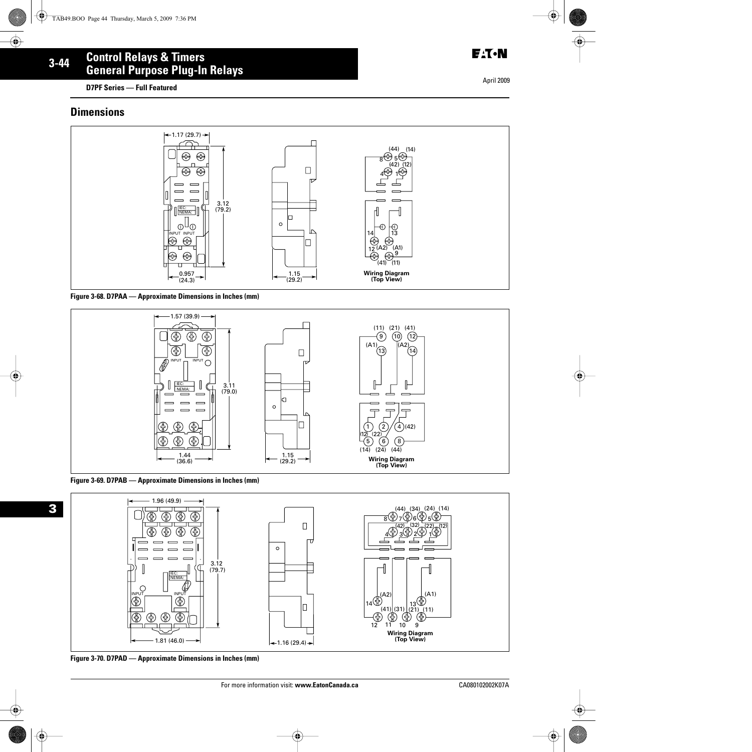**D7PF Series — Full Featured**

#### **Dimensions**











**Figure 3-70. D7PAD — Approximate Dimensions in Inches (mm)**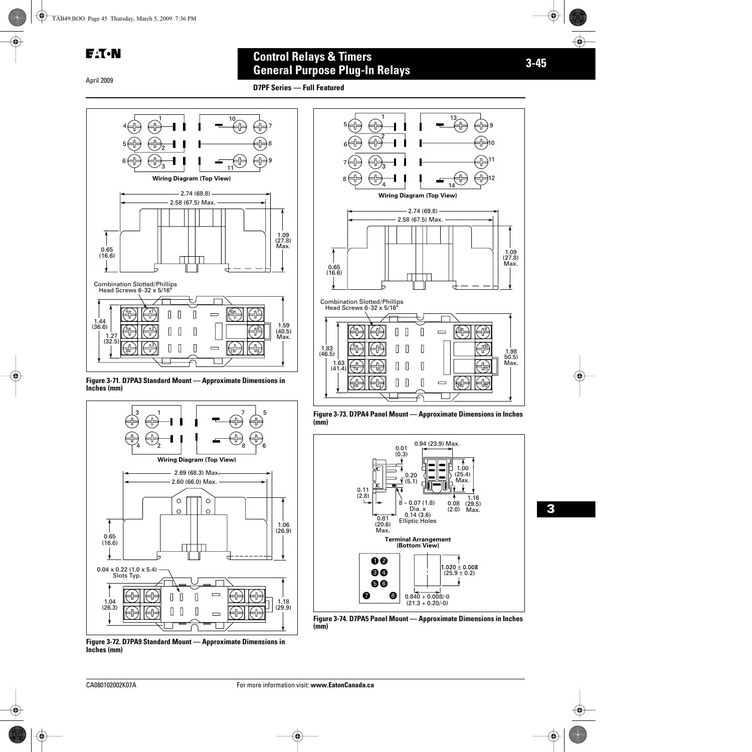$E: T \cdot N$ 

April 2009

# **3-45 Control Relays & Timers General Purpose Plug-In Relays**

**D7PF Series — Full Featured**







**Figure 3-72. D7PA9 Standard Mount — Approximate Dimensions in Inches (mm)**



**Figure 3-73. D7PA4 Panel Mount — Approximate Dimensions in Inches (mm)** 



**Figure 3-74. D7PA5 Panel Mount — Approximate Dimensions in Inches (mm)**